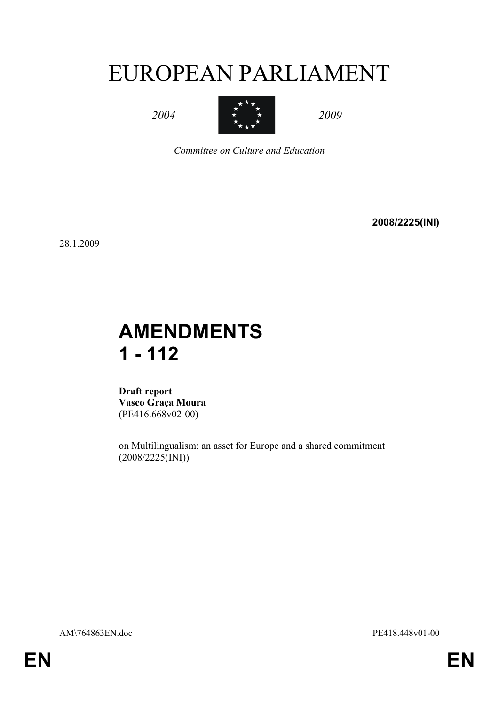# EUROPEAN PARLIAMENT



 $\star$  2009 2009

*Committee on Culture and Education*

**2008/2225(INI)**

28.1.2009

## **AMENDMENTS 1 - 112**

**Draft report Vasco Graça Moura** (PE416.668v02-00)

on Multilingualism: an asset for Europe and a shared commitment (2008/2225(INI))

AM\764863EN.doc PE418.448v01-00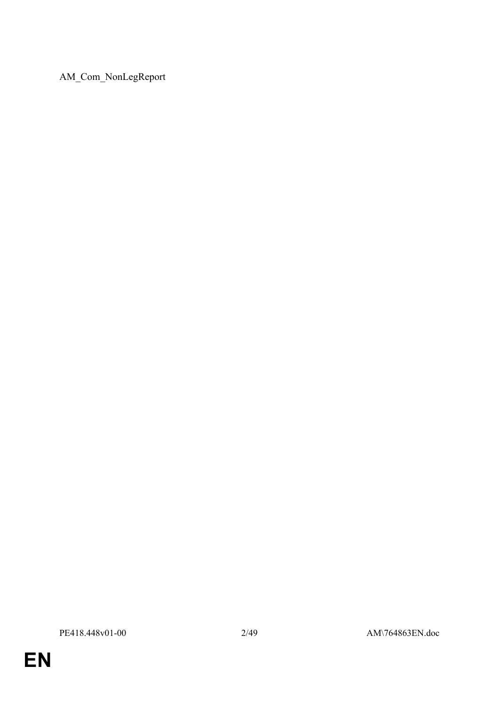AM\_Com\_NonLegReport

**EN**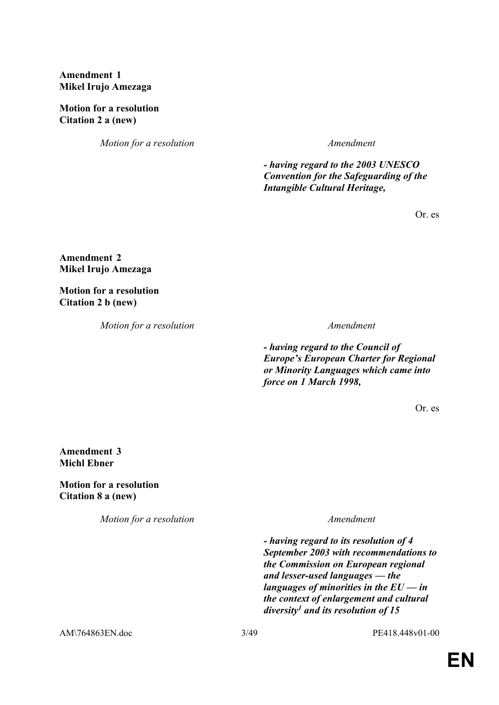**Amendment 1 Mikel Irujo Amezaga**

**Motion for a resolution Citation 2 a (new)**

*Motion for a resolution Amendment*

 *- having regard to the 2003 UNESCO Convention for the Safeguarding of the Intangible Cultural Heritage,*

Or. es

**Amendment 2 Mikel Irujo Amezaga**

**Motion for a resolution Citation 2 b (new)**

*Motion for a resolution Amendment*

 *- having regard to the Council of Europe's European Charter for Regional or Minority Languages which came into force on 1 March 1998,*

Or. es

**Amendment 3 Michl Ebner**

**Motion for a resolution Citation 8 a (new)**

*Motion for a resolution Amendment*

 *- having regard to its resolution of 4 September 2003 with recommendations to the Commission on European regional and lesser-used languages — the languages of minorities in the EU — in the context of enlargement and cultural diversity<sup>1</sup> and its resolution of 15* 

AM\764863EN.doc 3/49 PE418.448v01-00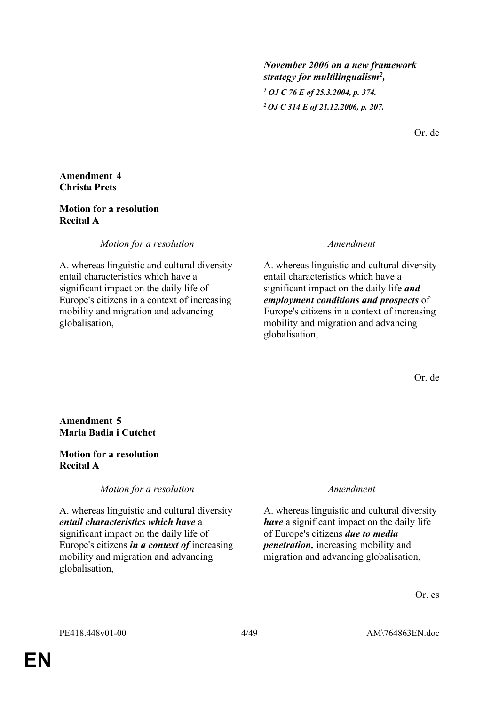*November 2006 on a new framework strategy for multilingualism<sup>2</sup> , 1 OJ C 76 E of 25.3.2004, p. 374.*

*<sup>2</sup>OJ C 314 E of 21.12.2006, p. 207.*

Or. de

### **Amendment 4 Christa Prets**

### **Motion for a resolution Recital A**

*Motion for a resolution Amendment*

A. whereas linguistic and cultural diversity entail characteristics which have a significant impact on the daily life of Europe's citizens in a context of increasing mobility and migration and advancing globalisation,

A. whereas linguistic and cultural diversity entail characteristics which have a significant impact on the daily life *and employment conditions and prospects* of Europe's citizens in a context of increasing mobility and migration and advancing globalisation,

Or. de

### **Amendment 5 Maria Badia i Cutchet**

### **Motion for a resolution Recital A**

*Motion for a resolution Amendment*

A. whereas linguistic and cultural diversity *entail characteristics which have* a significant impact on the daily life of Europe's citizens *in a context of* increasing mobility and migration and advancing globalisation,

A. whereas linguistic and cultural diversity *have* a significant impact on the daily life of Europe's citizens *due to media penetration,* increasing mobility and migration and advancing globalisation,

Or. es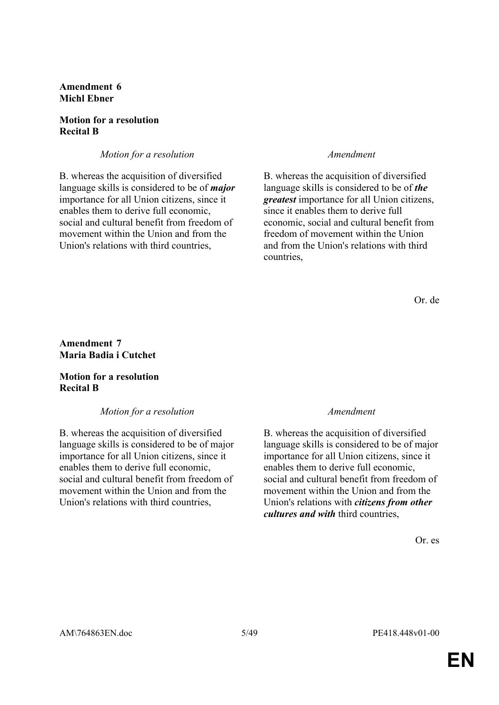**Amendment 6 Michl Ebner**

#### **Motion for a resolution Recital B**

*Motion for a resolution Amendment* 

B. whereas the acquisition of diversified language skills is considered to be of *major* importance for all Union citizens, since it enables them to derive full economic, social and cultural benefit from freedom of movement within the Union and from the Union's relations with third countries,

B. whereas the acquisition of diversified language skills is considered to be of *the greatest* importance for all Union citizens, since it enables them to derive full economic, social and cultural benefit from freedom of movement within the Union and from the Union's relations with third countries,

Or. de

**Amendment 7 Maria Badia i Cutchet**

### **Motion for a resolution Recital B**

*Motion for a resolution Amendment*

B. whereas the acquisition of diversified language skills is considered to be of major importance for all Union citizens, since it enables them to derive full economic, social and cultural benefit from freedom of movement within the Union and from the Union's relations with third countries,

B. whereas the acquisition of diversified language skills is considered to be of major importance for all Union citizens, since it enables them to derive full economic, social and cultural benefit from freedom of movement within the Union and from the Union's relations with *citizens from other cultures and with* third countries,

Or. es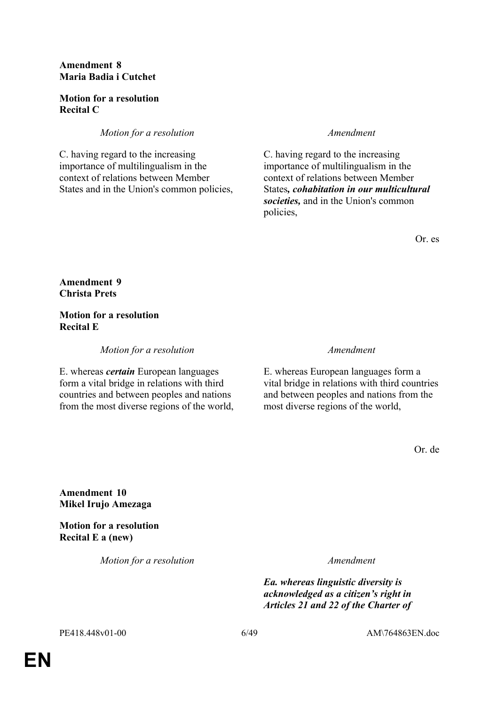### **Amendment 8 Maria Badia i Cutchet**

### **Motion for a resolution Recital C**

### *Motion for a resolution Amendment*

C. having regard to the increasing importance of multilingualism in the context of relations between Member States and in the Union's common policies,

C. having regard to the increasing importance of multilingualism in the context of relations between Member States*, cohabitation in our multicultural societies,* and in the Union's common policies,

Or. es

**Amendment 9 Christa Prets**

**Motion for a resolution Recital E**

*Motion for a resolution Amendment*

E. whereas *certain* European languages form a vital bridge in relations with third countries and between peoples and nations from the most diverse regions of the world,

E. whereas European languages form a vital bridge in relations with third countries and between peoples and nations from the most diverse regions of the world,

Or. de

**Amendment 10 Mikel Irujo Amezaga**

**Motion for a resolution Recital E a (new)**

*Motion for a resolution Amendment*

*Ea. whereas linguistic diversity is acknowledged as a citizen's right in Articles 21 and 22 of the Charter of* 

PE418.448v01-00 6/49 AM\764863EN.doc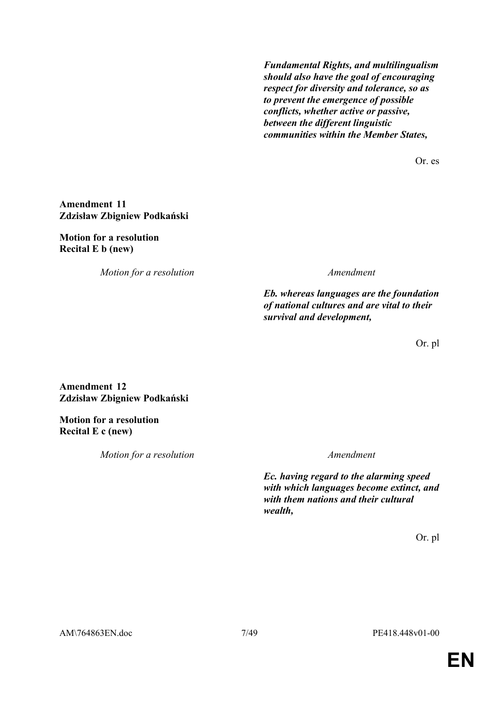*Fundamental Rights, and multilingualism should also have the goal of encouraging respect for diversity and tolerance, so as to prevent the emergence of possible conflicts, whether active or passive, between the different linguistic communities within the Member States,*

Or. es

#### **Amendment 11 Zdzisław Zbigniew Podkański**

#### **Motion for a resolution Recital E b (new)**

*Motion for a resolution Amendment*

*Eb. whereas languages are the foundation of national cultures and are vital to their survival and development,*

Or. pl

### **Amendment 12 Zdzisław Zbigniew Podkański**

**Motion for a resolution Recital E c (new)**

*Motion for a resolution Amendment*

*Ec. having regard to the alarming speed with which languages become extinct, and with them nations and their cultural wealth,*

Or. pl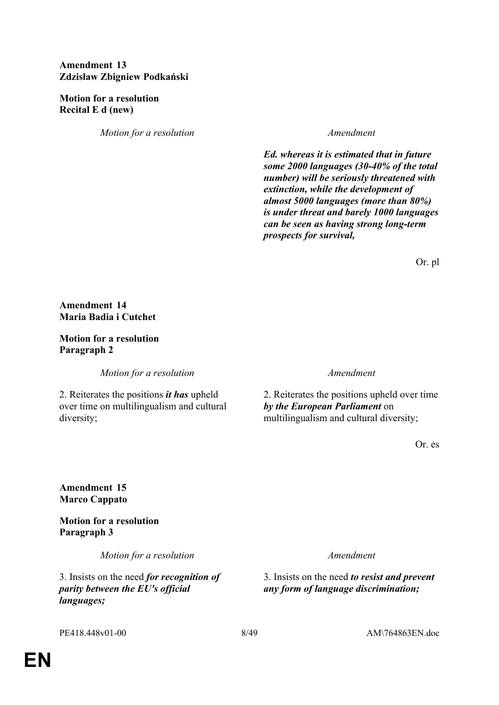### **Amendment 13 Zdzisław Zbigniew Podkański**

#### **Motion for a resolution Recital E d (new)**

*Motion for a resolution Amendment*

*Ed. whereas it is estimated that in future some 2000 languages (30-40% of the total number) will be seriously threatened with extinction, while the development of almost 5000 languages (more than 80%) is under threat and barely 1000 languages can be seen as having strong long-term prospects for survival,*

Or. pl

### **Amendment 14 Maria Badia i Cutchet**

### **Motion for a resolution Paragraph 2**

*Motion for a resolution Amendment*

2. Reiterates the positions *it has* upheld over time on multilingualism and cultural diversity;

2. Reiterates the positions upheld over time *by the European Parliament* on multilingualism and cultural diversity;

Or. es

### **Amendment 15 Marco Cappato**

**Motion for a resolution Paragraph 3**

*Motion for a resolution Amendment*

3. Insists on the need *for recognition of parity between the EU's official languages;*

3. Insists on the need *to resist and prevent any form of language discrimination;*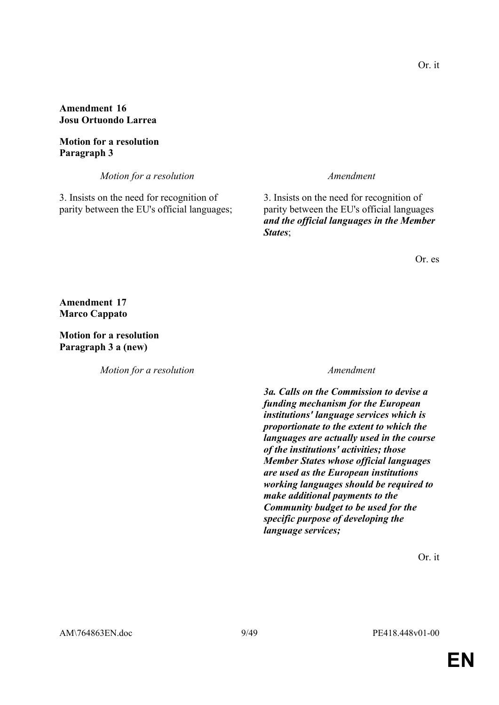### **Amendment 16 Josu Ortuondo Larrea**

#### **Motion for a resolution Paragraph 3**

*Motion for a resolution Amendment*

3. Insists on the need for recognition of parity between the EU's official languages;

3. Insists on the need for recognition of parity between the EU's official languages *and the official languages in the Member States*;

Or. es

**Amendment 17 Marco Cappato**

**Motion for a resolution Paragraph 3 a (new)**

*Motion for a resolution Amendment*

 *3a. Calls on the Commission to devise a funding mechanism for the European institutions' language services which is proportionate to the extent to which the languages are actually used in the course of the institutions' activities; those Member States whose official languages are used as the European institutions working languages should be required to make additional payments to the Community budget to be used for the specific purpose of developing the language services;*

Or. it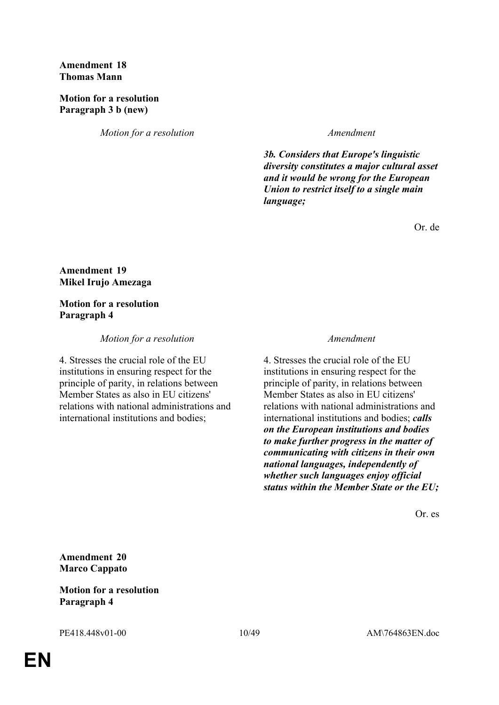#### **Amendment 18 Thomas Mann**

### **Motion for a resolution Paragraph 3 b (new)**

*Motion for a resolution Amendment*

 *3b. Considers that Europe's linguistic diversity constitutes a major cultural asset and it would be wrong for the European Union to restrict itself to a single main language;*

Or. de

### **Amendment 19 Mikel Irujo Amezaga**

### **Motion for a resolution Paragraph 4**

### *Motion for a resolution Amendment*

4. Stresses the crucial role of the EU institutions in ensuring respect for the principle of parity, in relations between Member States as also in EU citizens' relations with national administrations and international institutions and bodies;

4. Stresses the crucial role of the EU institutions in ensuring respect for the principle of parity, in relations between Member States as also in EU citizens' relations with national administrations and international institutions and bodies; *calls on the European institutions and bodies to make further progress in the matter of communicating with citizens in their own national languages, independently of whether such languages enjoy official status within the Member State or the EU;*

Or. es

**Amendment 20 Marco Cappato**

### **Motion for a resolution Paragraph 4**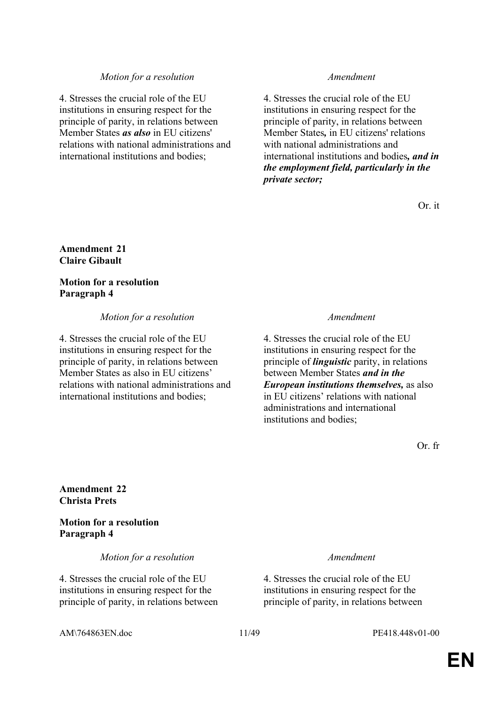#### *Motion for a resolution Amendment*

4. Stresses the crucial role of the EU institutions in ensuring respect for the principle of parity, in relations between Member States *as also* in EU citizens' relations with national administrations and international institutions and bodies;

4. Stresses the crucial role of the EU institutions in ensuring respect for the principle of parity, in relations between Member States*,* in EU citizens' relations with national administrations and international institutions and bodies*, and in the employment field, particularly in the private sector;*

Or. it

#### **Amendment 21 Claire Gibault**

**Motion for a resolution Paragraph 4**

#### *Motion for a resolution Amendment*

4. Stresses the crucial role of the EU institutions in ensuring respect for the principle of parity, in relations between Member States as also in EU citizens' relations with national administrations and international institutions and bodies;

4. Stresses the crucial role of the EU institutions in ensuring respect for the principle of *linguistic* parity, in relations between Member States *and in the European institutions themselves,* as also in EU citizens' relations with national administrations and international institutions and bodies;

Or. fr

#### **Amendment 22 Christa Prets**

**Motion for a resolution Paragraph 4**

*Motion for a resolution Amendment*

4. Stresses the crucial role of the EU institutions in ensuring respect for the principle of parity, in relations between

4. Stresses the crucial role of the EU institutions in ensuring respect for the principle of parity, in relations between

AM\764863EN.doc 11/49 PE418.448v01-00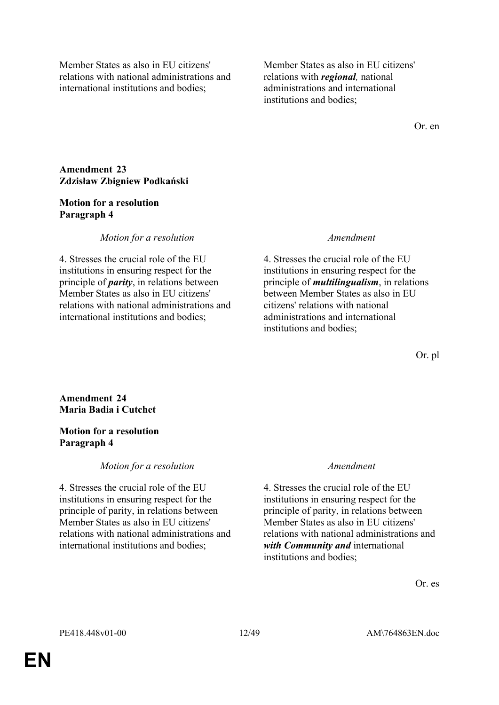Member States as also in EU citizens' relations with national administrations and international institutions and bodies;

Member States as also in EU citizens' relations with *regional,* national administrations and international institutions and bodies;

Or. en

### **Amendment 23 Zdzisław Zbigniew Podkański**

#### **Motion for a resolution Paragraph 4**

### *Motion for a resolution Amendment*

4. Stresses the crucial role of the EU institutions in ensuring respect for the principle of *parity*, in relations between Member States as also in EU citizens' relations with national administrations and international institutions and bodies;

4. Stresses the crucial role of the EU institutions in ensuring respect for the principle of *multilingualism*, in relations between Member States as also in EU citizens' relations with national administrations and international institutions and bodies;

Or. pl

**Amendment 24 Maria Badia i Cutchet**

### **Motion for a resolution Paragraph 4**

### *Motion for a resolution Amendment*

4. Stresses the crucial role of the EU institutions in ensuring respect for the principle of parity, in relations between Member States as also in EU citizens' relations with national administrations and international institutions and bodies;

4. Stresses the crucial role of the EU institutions in ensuring respect for the principle of parity, in relations between Member States as also in EU citizens' relations with national administrations and *with Community and* international institutions and bodies;

Or. es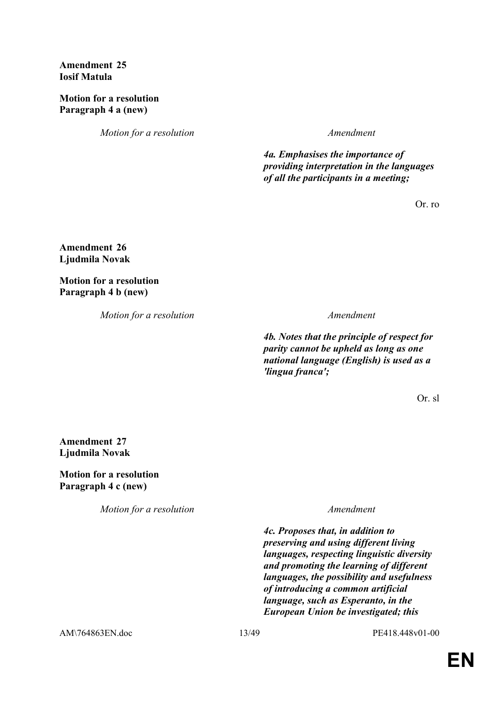**Amendment 25 Iosif Matula**

**Motion for a resolution Paragraph 4 a (new)**

*Motion for a resolution Amendment*

 *4a. Emphasises the importance of providing interpretation in the languages of all the participants in a meeting;*

Or. ro

**Amendment 26 Ljudmila Novak**

**Motion for a resolution Paragraph 4 b (new)**

*Motion for a resolution Amendment*

 *4b. Notes that the principle of respect for parity cannot be upheld as long as one national language (English) is used as a 'lingua franca';*

Or. sl

**Amendment 27 Ljudmila Novak**

**Motion for a resolution Paragraph 4 c (new)**

*Motion for a resolution Amendment*

 *4c. Proposes that, in addition to preserving and using different living languages, respecting linguistic diversity and promoting the learning of different languages, the possibility and usefulness of introducing a common artificial language, such as Esperanto, in the European Union be investigated; this* 

AM\764863EN.doc 13/49 PE418.448v01-00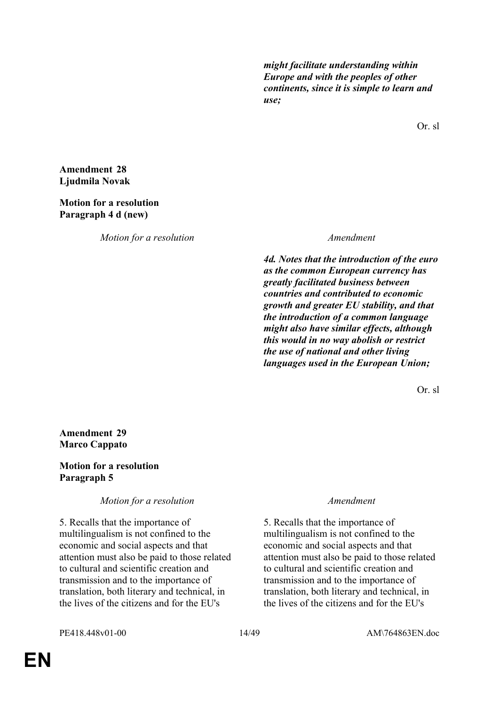*might facilitate understanding within Europe and with the peoples of other continents, since it is simple to learn and use;*

Or. sl

**Amendment 28 Ljudmila Novak**

### **Motion for a resolution Paragraph 4 d (new)**

*Motion for a resolution Amendment*

 *4d. Notes that the introduction of the euro as the common European currency has greatly facilitated business between countries and contributed to economic growth and greater EU stability, and that the introduction of a common language might also have similar effects, although this would in no way abolish or restrict the use of national and other living languages used in the European Union;*

Or. sl

### **Amendment 29 Marco Cappato**

### **Motion for a resolution Paragraph 5**

*Motion for a resolution Amendment*

5. Recalls that the importance of multilingualism is not confined to the economic and social aspects and that attention must also be paid to those related to cultural and scientific creation and transmission and to the importance of translation, both literary and technical, in the lives of the citizens and for the EU's

5. Recalls that the importance of multilingualism is not confined to the economic and social aspects and that attention must also be paid to those related to cultural and scientific creation and transmission and to the importance of translation, both literary and technical, in the lives of the citizens and for the EU's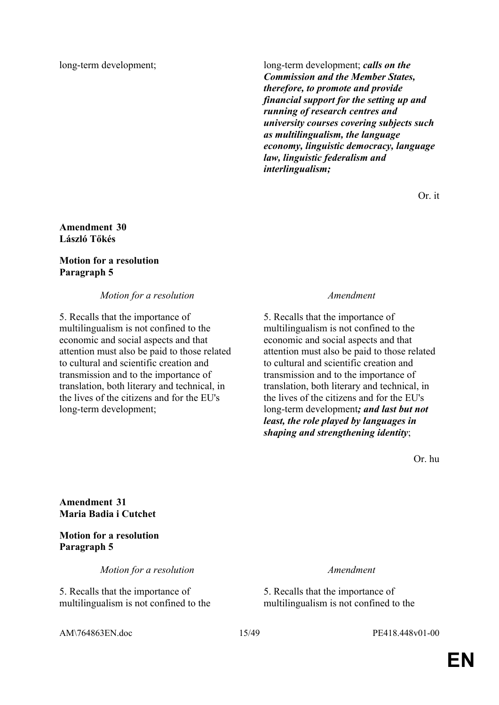long-term development; long-term development; *calls on the Commission and the Member States, therefore, to promote and provide financial support for the setting up and running of research centres and university courses covering subjects such as multilingualism, the language economy, linguistic democracy, language law, linguistic federalism and interlingualism;*

Or. it

### **Amendment 30 László Tőkés**

### **Motion for a resolution Paragraph 5**

*Motion for a resolution Amendment*

5. Recalls that the importance of multilingualism is not confined to the economic and social aspects and that attention must also be paid to those related to cultural and scientific creation and transmission and to the importance of translation, both literary and technical, in the lives of the citizens and for the EU's long-term development;

5. Recalls that the importance of multilingualism is not confined to the economic and social aspects and that attention must also be paid to those related to cultural and scientific creation and transmission and to the importance of translation, both literary and technical, in the lives of the citizens and for the EU's long-term development*; and last but not least, the role played by languages in shaping and strengthening identity*;

Or. hu

**Amendment 31 Maria Badia i Cutchet**

### **Motion for a resolution Paragraph 5**

*Motion for a resolution Amendment*

5. Recalls that the importance of multilingualism is not confined to the

5. Recalls that the importance of multilingualism is not confined to the

AM\764863EN.doc 15/49 PE418.448v01-00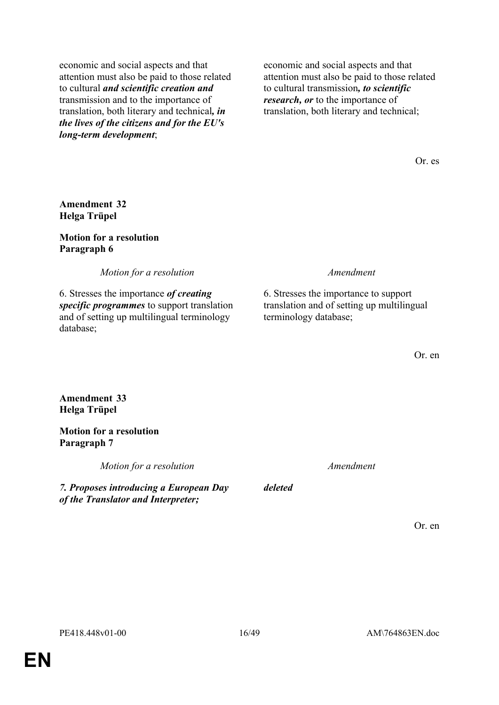economic and social aspects and that attention must also be paid to those related to cultural *and scientific creation and* transmission and to the importance of translation, both literary and technical*, in the lives of the citizens and for the EU's long-term development*;

economic and social aspects and that attention must also be paid to those related to cultural transmission*, to scientific research, or* to the importance of translation, both literary and technical;

Or. es

### **Amendment 32 Helga Trüpel**

#### **Motion for a resolution Paragraph 6**

*Motion for a resolution Amendment*

6. Stresses the importance *of creating specific programmes* to support translation and of setting up multilingual terminology database;

6. Stresses the importance to support translation and of setting up multilingual terminology database;

Or. en

### **Amendment 33 Helga Trüpel**

**Motion for a resolution Paragraph 7**

*Motion for a resolution Amendment*

*7. Proposes introducing a European Day of the Translator and Interpreter;*

Or. en

*deleted*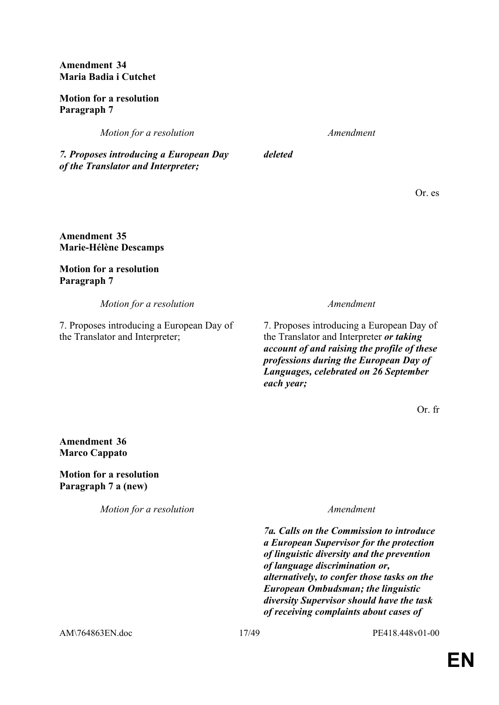**Amendment 34 Maria Badia i Cutchet**

**Motion for a resolution Paragraph 7**

*Motion for a resolution Amendment*

*deleted*

*7. Proposes introducing a European Day of the Translator and Interpreter;*

Or. es

**Amendment 35 Marie-Hélène Descamps**

**Motion for a resolution Paragraph 7**

*Motion for a resolution Amendment*

7. Proposes introducing a European Day of the Translator and Interpreter;

7. Proposes introducing a European Day of the Translator and Interpreter *or taking account of and raising the profile of these professions during the European Day of Languages, celebrated on 26 September each year;*

Or. fr

**Amendment 36 Marco Cappato**

**Motion for a resolution Paragraph 7 a (new)**

*Motion for a resolution Amendment*

 *7a. Calls on the Commission to introduce a European Supervisor for the protection of linguistic diversity and the prevention of language discrimination or, alternatively, to confer those tasks on the European Ombudsman; the linguistic diversity Supervisor should have the task of receiving complaints about cases of* 

AM\764863EN.doc 17/49 PE418.448v01-00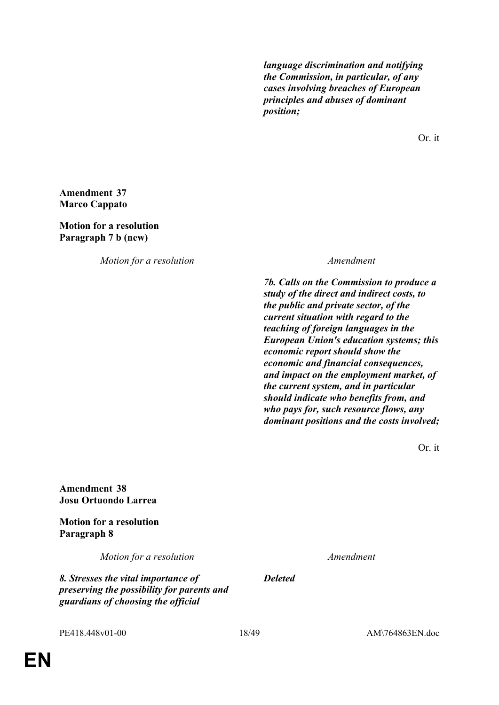*language discrimination and notifying the Commission, in particular, of any cases involving breaches of European principles and abuses of dominant position;*

Or. it

### **Amendment 37 Marco Cappato**

**Motion for a resolution Paragraph 7 b (new)**

*Motion for a resolution Amendment*

 *7b. Calls on the Commission to produce a study of the direct and indirect costs, to the public and private sector, of the current situation with regard to the teaching of foreign languages in the European Union's education systems; this economic report should show the economic and financial consequences, and impact on the employment market, of the current system, and in particular should indicate who benefits from, and who pays for, such resource flows, any dominant positions and the costs involved;*

Or. it

**Amendment 38 Josu Ortuondo Larrea**

**Motion for a resolution Paragraph 8**

*Motion for a resolution Amendment*

*8. Stresses the vital importance of preserving the possibility for parents and guardians of choosing the official* 

*Deleted*

PE418.448v01-00 18/49 AM\764863EN.doc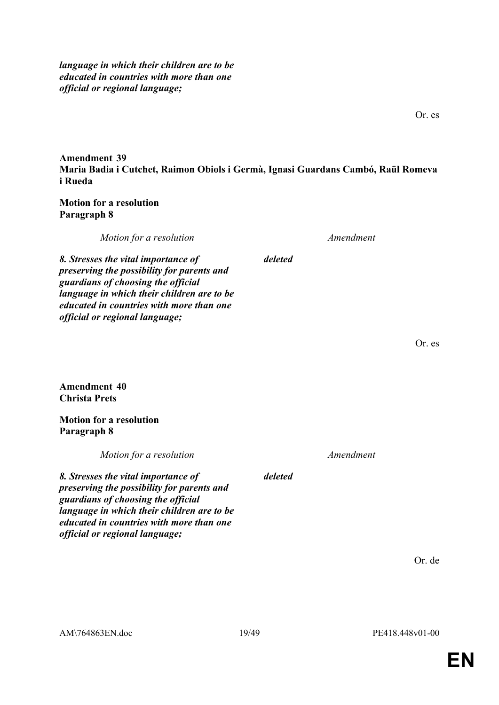*language in which their children are to be educated in countries with more than one official or regional language;* 

**Amendment 39 Maria Badia i Cutchet, Raimon Obiols i Germà, Ignasi Guardans Cambó, Raül Romeva i Rueda**

*deleted*

**Motion for a resolution Paragraph 8**

*Motion for a resolution Amendment*

*8. Stresses the vital importance of preserving the possibility for parents and guardians of choosing the official language in which their children are to be educated in countries with more than one official or regional language;* 

Or. es

**Amendment 40 Christa Prets**

**Motion for a resolution Paragraph 8**

*official or regional language;*

*Motion for a resolution Amendment 8. Stresses the vital importance of preserving the possibility for parents and guardians of choosing the official language in which their children are to be educated in countries with more than one deleted*

Or. de

Or. es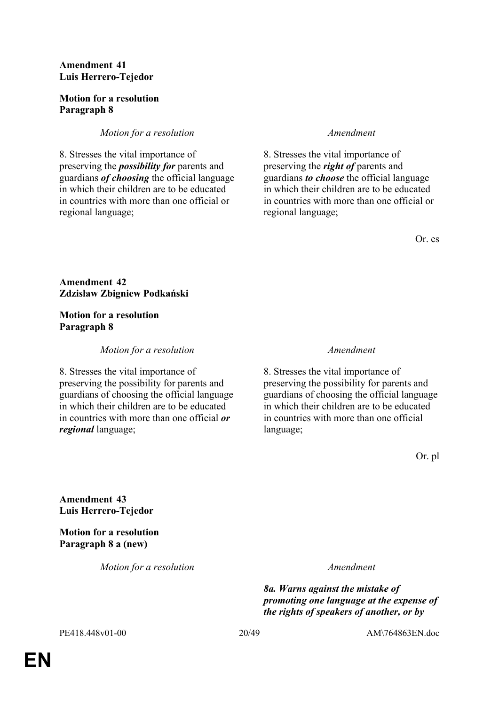### **Amendment 41 Luis Herrero-Tejedor**

### **Motion for a resolution Paragraph 8**

### *Motion for a resolution Amendment*

8. Stresses the vital importance of preserving the *possibility for* parents and guardians *of choosing* the official language in which their children are to be educated in countries with more than one official or regional language;

8. Stresses the vital importance of preserving the *right of* parents and guardians *to choose* the official language in which their children are to be educated in countries with more than one official or regional language;

Or. es

### **Amendment 42 Zdzisław Zbigniew Podkański**

#### **Motion for a resolution Paragraph 8**

### *Motion for a resolution Amendment*

8. Stresses the vital importance of preserving the possibility for parents and guardians of choosing the official language in which their children are to be educated in countries with more than one official *or regional* language;

8. Stresses the vital importance of preserving the possibility for parents and guardians of choosing the official language in which their children are to be educated in countries with more than one official language;

Or. pl

**Amendment 43 Luis Herrero-Tejedor**

**Motion for a resolution Paragraph 8 a (new)**

*Motion for a resolution Amendment*

 *8a. Warns against the mistake of promoting one language at the expense of the rights of speakers of another, or by* 

PE418.448v01-00 20/49 AM\764863EN.doc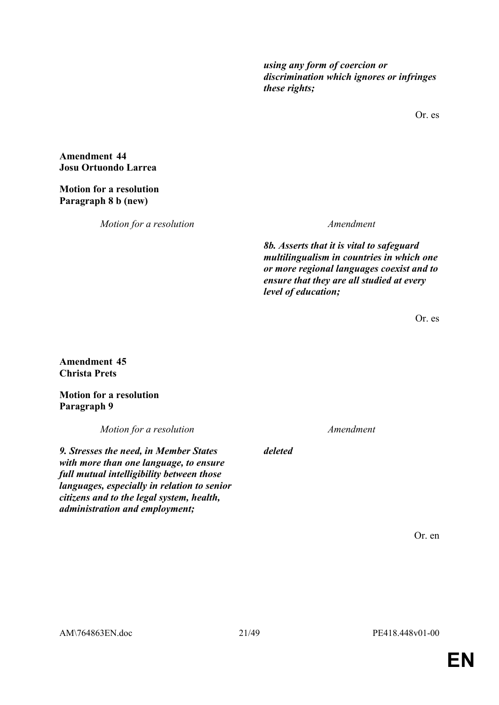*using any form of coercion or discrimination which ignores or infringes these rights;*

Or. es

**Amendment 44 Josu Ortuondo Larrea**

**Motion for a resolution Paragraph 8 b (new)**

*Motion for a resolution Amendment*

 *8b. Asserts that it is vital to safeguard multilingualism in countries in which one or more regional languages coexist and to ensure that they are all studied at every level of education;*

Or. es

**Amendment 45 Christa Prets**

**Motion for a resolution Paragraph 9**

*Motion for a resolution Amendment*

*9. Stresses the need, in Member States with more than one language, to ensure full mutual intelligibility between those languages, especially in relation to senior citizens and to the legal system, health, administration and employment;*

*deleted*

Or. en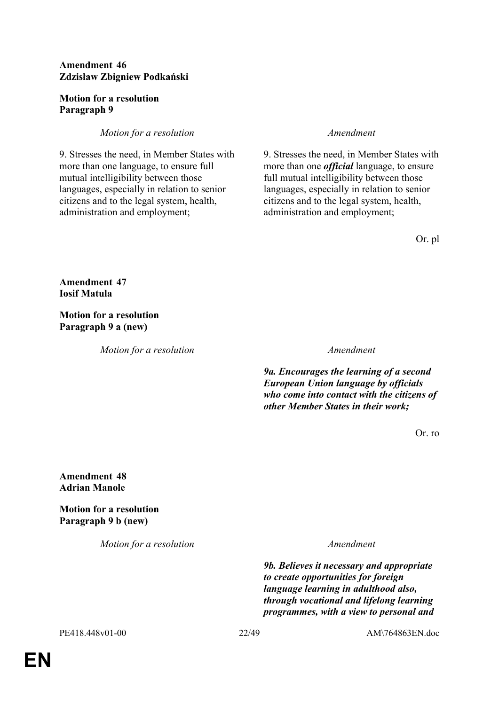### **Amendment 46 Zdzisław Zbigniew Podkański**

### **Motion for a resolution Paragraph 9**

### *Motion for a resolution Amendment*

9. Stresses the need, in Member States with more than one language, to ensure full mutual intelligibility between those languages, especially in relation to senior citizens and to the legal system, health, administration and employment;

9. Stresses the need, in Member States with more than one *official* language, to ensure full mutual intelligibility between those languages, especially in relation to senior citizens and to the legal system, health, administration and employment;

Or. pl

**Amendment 47 Iosif Matula**

**Motion for a resolution Paragraph 9 a (new)**

*Motion for a resolution Amendment*

 *9a. Encourages the learning of a second European Union language by officials who come into contact with the citizens of other Member States in their work;*

Or. ro

**Amendment 48 Adrian Manole**

**Motion for a resolution Paragraph 9 b (new)**

*Motion for a resolution Amendment*

 *9b. Believes it necessary and appropriate to create opportunities for foreign language learning in adulthood also, through vocational and lifelong learning programmes, with a view to personal and* 

PE418.448v01-00 22/49 AM\764863EN.doc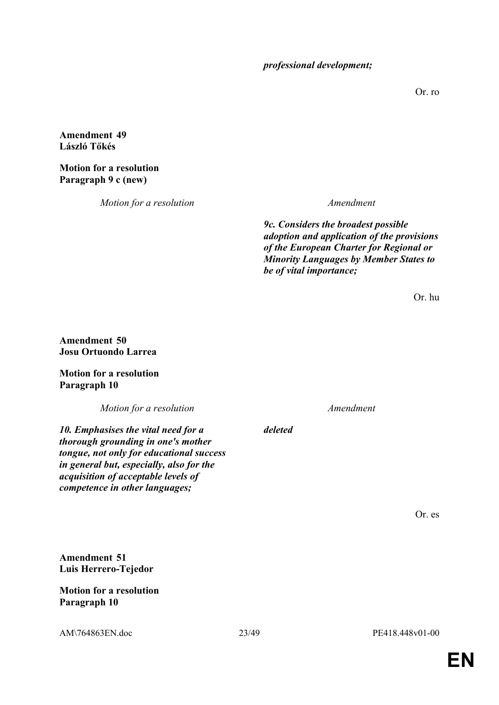*professional development;*

Or. ro

### **Amendment 49 László Tőkés**

### **Motion for a resolution Paragraph 9 c (new)**

*Motion for a resolution Amendment*

 *9c. Considers the broadest possible adoption and application of the provisions of the European Charter for Regional or Minority Languages by Member States to be of vital importance;*

Or. hu

### **Amendment 50 Josu Ortuondo Larrea**

**Motion for a resolution Paragraph 10**

*Motion for a resolution Amendment*

*10. Emphasises the vital need for a thorough grounding in one's mother tongue, not only for educational success in general but, especially, also for the acquisition of acceptable levels of competence in other languages;*

*deleted*

Or. es

**Amendment 51 Luis Herrero-Tejedor**

**Motion for a resolution Paragraph 10**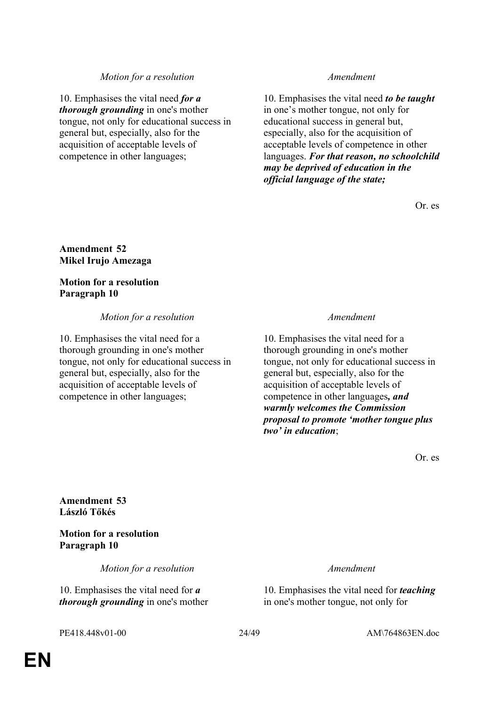#### *Motion for a resolution Amendment*

10. Emphasises the vital need *for a thorough grounding* in one's mother tongue, not only for educational success in general but, especially, also for the acquisition of acceptable levels of competence in other languages;

10. Emphasises the vital need *to be taught* in one's mother tongue, not only for educational success in general but, especially, also for the acquisition of acceptable levels of competence in other languages. *For that reason, no schoolchild may be deprived of education in the official language of the state;* 

Or. es

**Amendment 52 Mikel Irujo Amezaga**

**Motion for a resolution Paragraph 10**

#### *Motion for a resolution Amendment*

10. Emphasises the vital need for a thorough grounding in one's mother tongue, not only for educational success in general but, especially, also for the acquisition of acceptable levels of competence in other languages;

10. Emphasises the vital need for a thorough grounding in one's mother tongue, not only for educational success in general but, especially, also for the acquisition of acceptable levels of competence in other languages*, and warmly welcomes the Commission proposal to promote 'mother tongue plus two' in education*;

Or. es

**Amendment 53 László Tőkés**

**Motion for a resolution Paragraph 10**

*Motion for a resolution Amendment*

10. Emphasises the vital need for *a thorough grounding* in one's mother

10. Emphasises the vital need for *teaching* in one's mother tongue, not only for

PE418.448v01-00 24/49 AM\764863EN.doc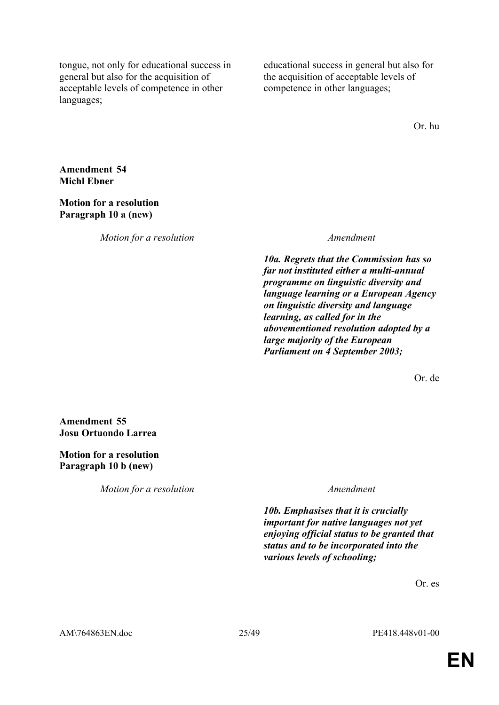tongue, not only for educational success in general but also for the acquisition of acceptable levels of competence in other languages;

educational success in general but also for the acquisition of acceptable levels of competence in other languages;

Or. hu

**Amendment 54 Michl Ebner**

#### **Motion for a resolution Paragraph 10 a (new)**

*Motion for a resolution Amendment*

 *10a. Regrets that the Commission has so far not instituted either a multi-annual programme on linguistic diversity and language learning or a European Agency on linguistic diversity and language learning, as called for in the abovementioned resolution adopted by a large majority of the European Parliament on 4 September 2003;*

Or. de

**Amendment 55 Josu Ortuondo Larrea**

**Motion for a resolution Paragraph 10 b (new)**

*Motion for a resolution Amendment*

 *10b. Emphasises that it is crucially important for native languages not yet enjoying official status to be granted that status and to be incorporated into the various levels of schooling;*

Or. es

AM\764863EN.doc 25/49 PE418.448v01-00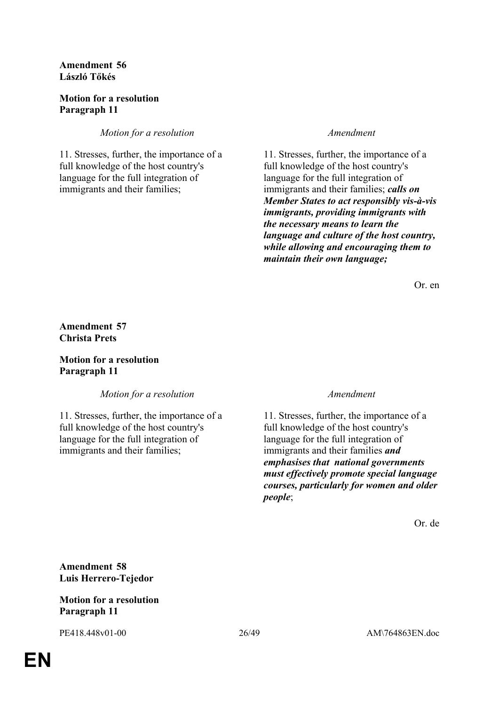**Amendment 56 László Tőkés**

### **Motion for a resolution Paragraph 11**

*Motion for a resolution Amendment*

11. Stresses, further, the importance of a full knowledge of the host country's language for the full integration of immigrants and their families;

11. Stresses, further, the importance of a full knowledge of the host country's language for the full integration of immigrants and their families; *calls on Member States to act responsibly vis-à-vis immigrants, providing immigrants with the necessary means to learn the language and culture of the host country, while allowing and encouraging them to maintain their own language;*

Or. en

**Amendment 57 Christa Prets**

**Motion for a resolution Paragraph 11**

*Motion for a resolution Amendment*

11. Stresses, further, the importance of a full knowledge of the host country's language for the full integration of immigrants and their families;

11. Stresses, further, the importance of a full knowledge of the host country's language for the full integration of immigrants and their families *and emphasises that national governments must effectively promote special language courses, particularly for women and older people*;

Or. de

**Amendment 58 Luis Herrero-Tejedor**

### **Motion for a resolution Paragraph 11**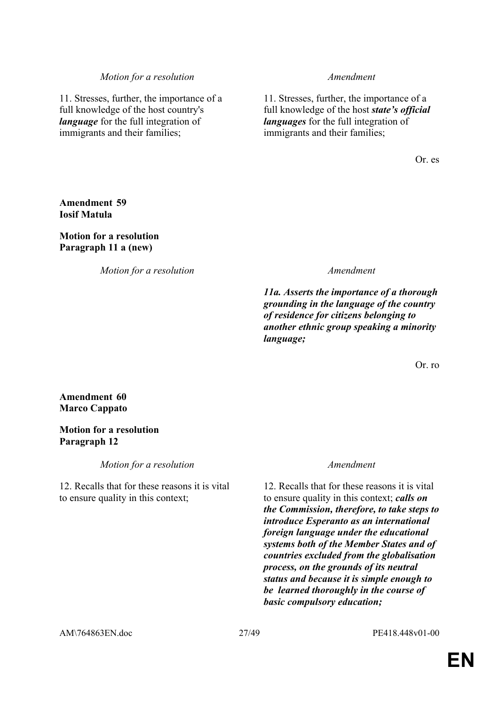#### *Motion for a resolution Amendment*

11. Stresses, further, the importance of a full knowledge of the host country's *language* for the full integration of immigrants and their families;

11. Stresses, further, the importance of a full knowledge of the host *state's official languages* for the full integration of immigrants and their families;

Or. es

### **Amendment 59 Iosif Matula**

### **Motion for a resolution Paragraph 11 a (new)**

*Motion for a resolution Amendment*

 *11a. Asserts the importance of a thorough grounding in the language of the country of residence for citizens belonging to another ethnic group speaking a minority language;*

Or. ro

### **Amendment 60 Marco Cappato**

### **Motion for a resolution Paragraph 12**

*Motion for a resolution Amendment* 

12. Recalls that for these reasons it is vital to ensure quality in this context;

12. Recalls that for these reasons it is vital to ensure quality in this context; *calls on the Commission, therefore, to take steps to introduce Esperanto as an international foreign language under the educational systems both of the Member States and of countries excluded from the globalisation process, on the grounds of its neutral status and because it is simple enough to be learned thoroughly in the course of basic compulsory education;*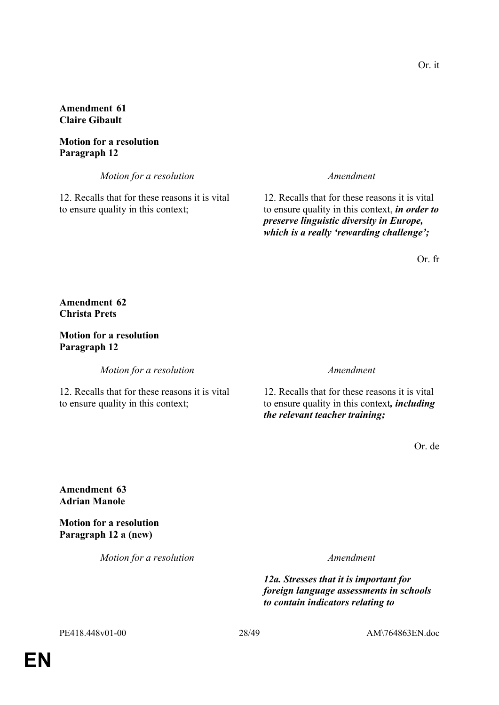**Amendment 61 Claire Gibault**

**Motion for a resolution Paragraph 12**

*Motion for a resolution Amendment*

12. Recalls that for these reasons it is vital to ensure quality in this context;

12. Recalls that for these reasons it is vital to ensure quality in this context, *in order to preserve linguistic diversity in Europe, which is a really 'rewarding challenge';*

Or. fr

#### **Amendment 62 Christa Prets**

### **Motion for a resolution Paragraph 12**

*Motion for a resolution Amendment*

12. Recalls that for these reasons it is vital to ensure quality in this context;

12. Recalls that for these reasons it is vital to ensure quality in this context*, including the relevant teacher training;*

Or. de

### **Amendment 63 Adrian Manole**

**Motion for a resolution Paragraph 12 a (new)**

*Motion for a resolution Amendment*

 *12a. Stresses that it is important for foreign language assessments in schools to contain indicators relating to* 

PE418.448v01-00 28/49 AM\764863EN.doc

Or. it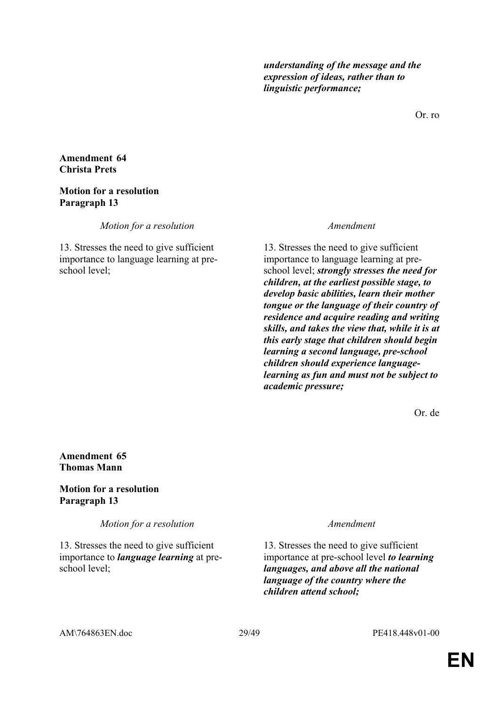*understanding of the message and the expression of ideas, rather than to linguistic performance;*

Or. ro

#### **Amendment 64 Christa Prets**

#### **Motion for a resolution Paragraph 13**

*Motion for a resolution Amendment*

13. Stresses the need to give sufficient importance to language learning at preschool level;

13. Stresses the need to give sufficient importance to language learning at preschool level; *strongly stresses the need for children, at the earliest possible stage, to develop basic abilities, learn their mother tongue or the language of their country of residence and acquire reading and writing skills, and takes the view that, while it is at this early stage that children should begin learning a second language, pre-school children should experience languagelearning as fun and must not be subject to academic pressure;*

Or. de

#### **Amendment 65 Thomas Mann**

### **Motion for a resolution Paragraph 13**

*Motion for a resolution Amendment*

13. Stresses the need to give sufficient importance to *language learning* at preschool level;

13. Stresses the need to give sufficient importance at pre-school level *to learning languages, and above all the national language of the country where the children attend school;*

AM\764863EN.doc 29/49 PE418.448v01-00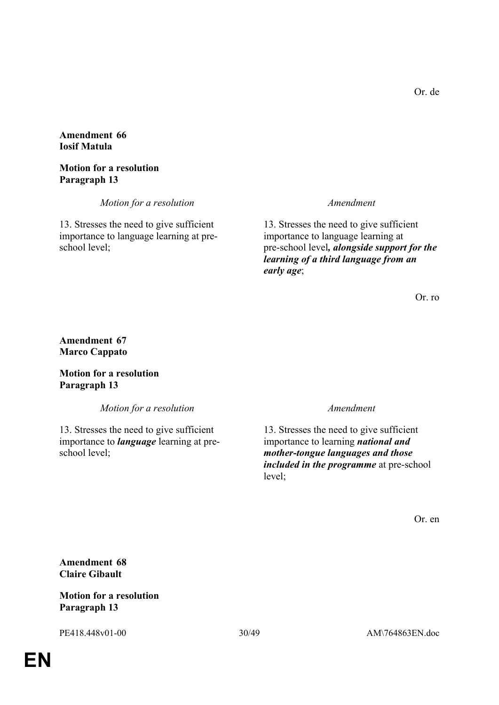**Amendment 66 Iosif Matula**

**Motion for a resolution Paragraph 13**

*Motion for a resolution Amendment*

13. Stresses the need to give sufficient importance to language learning at preschool level;

13. Stresses the need to give sufficient importance to language learning at pre-school level*, alongside support for the learning of a third language from an early age*;

Or. ro

### **Amendment 67 Marco Cappato**

**Motion for a resolution Paragraph 13**

*Motion for a resolution Amendment*

13. Stresses the need to give sufficient importance to *language* learning at preschool level;

13. Stresses the need to give sufficient importance to learning *national and mother-tongue languages and those included in the programme* at pre-school level;

Or. en

**Amendment 68 Claire Gibault**

### **Motion for a resolution Paragraph 13**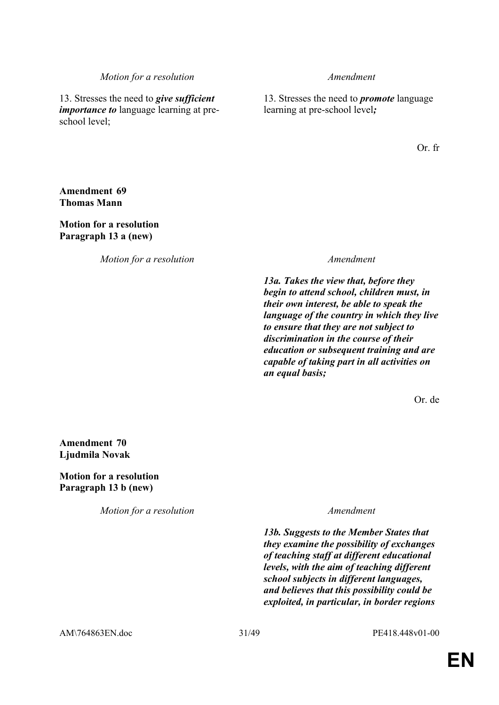#### *Motion for a resolution Amendment*

13. Stresses the need to *give sufficient importance to* language learning at preschool level;

13. Stresses the need to *promote* language learning at pre-school level*;*

Or. fr

### **Amendment 69 Thomas Mann**

**Motion for a resolution Paragraph 13 a (new)**

*Motion for a resolution Amendment*

 *13a. Takes the view that, before they begin to attend school, children must, in their own interest, be able to speak the language of the country in which they live to ensure that they are not subject to discrimination in the course of their education or subsequent training and are capable of taking part in all activities on an equal basis;*

Or. de

**Amendment 70 Ljudmila Novak**

**Motion for a resolution Paragraph 13 b (new)**

*Motion for a resolution Amendment*

 *13b. Suggests to the Member States that they examine the possibility of exchanges of teaching staff at different educational levels, with the aim of teaching different school subjects in different languages, and believes that this possibility could be exploited, in particular, in border regions*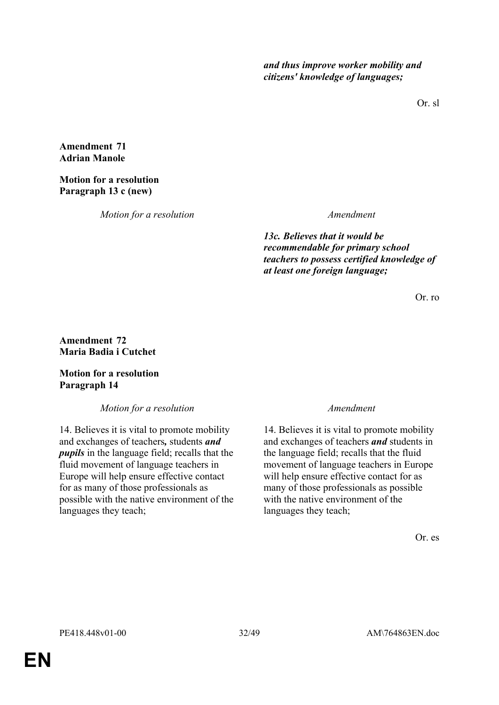*and thus improve worker mobility and citizens' knowledge of languages;*

Or. sl

#### **Amendment 71 Adrian Manole**

### **Motion for a resolution Paragraph 13 c (new)**

*Motion for a resolution Amendment*

 *13c. Believes that it would be recommendable for primary school teachers to possess certified knowledge of at least one foreign language;*

Or. ro

### **Amendment 72 Maria Badia i Cutchet**

### **Motion for a resolution Paragraph 14**

*Motion for a resolution Amendment*

14. Believes it is vital to promote mobility and exchanges of teachers*,* students *and pupils* in the language field; recalls that the fluid movement of language teachers in Europe will help ensure effective contact for as many of those professionals as possible with the native environment of the languages they teach;

14. Believes it is vital to promote mobility and exchanges of teachers *and* students in the language field; recalls that the fluid movement of language teachers in Europe will help ensure effective contact for as many of those professionals as possible with the native environment of the languages they teach;

Or. es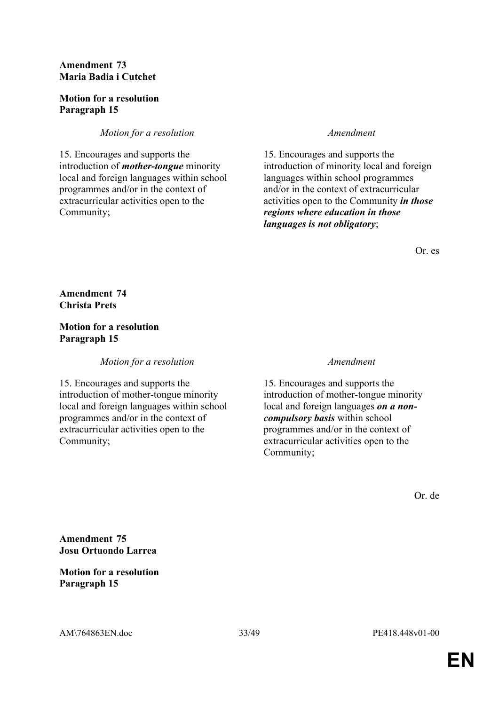### **Amendment 73 Maria Badia i Cutchet**

### **Motion for a resolution Paragraph 15**

### *Motion for a resolution Amendment*

15. Encourages and supports the introduction of *mother-tongue* minority local and foreign languages within school programmes and/or in the context of extracurricular activities open to the Community;

15. Encourages and supports the introduction of minority local and foreign languages within school programmes and/or in the context of extracurricular activities open to the Community *in those regions where education in those languages is not obligatory*;

Or. es

**Amendment 74 Christa Prets**

#### **Motion for a resolution Paragraph 15**

*Motion for a resolution Amendment*

15. Encourages and supports the introduction of mother-tongue minority local and foreign languages within school programmes and/or in the context of extracurricular activities open to the Community;

15. Encourages and supports the introduction of mother-tongue minority local and foreign languages *on a noncompulsory basis* within school programmes and/or in the context of extracurricular activities open to the Community;

Or. de

**Amendment 75 Josu Ortuondo Larrea**

### **Motion for a resolution Paragraph 15**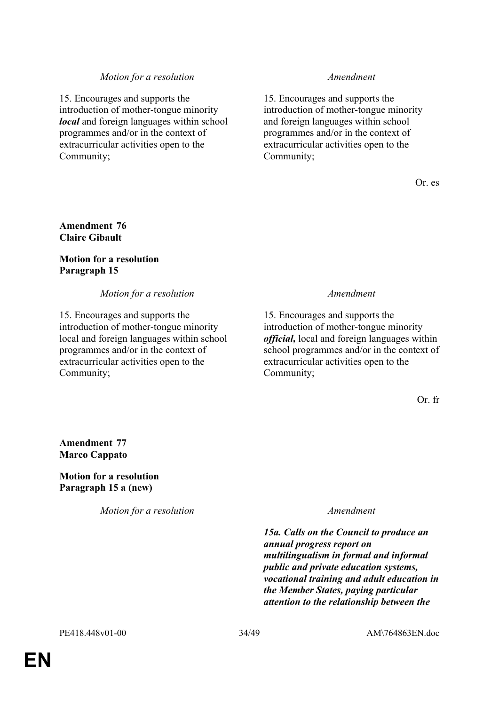### *Motion for a resolution Amendment*

15. Encourages and supports the introduction of mother-tongue minority *local* and foreign languages within school programmes and/or in the context of extracurricular activities open to the Community;

15. Encourages and supports the introduction of mother-tongue minority and foreign languages within school programmes and/or in the context of extracurricular activities open to the Community;

Or. es

### **Amendment 76 Claire Gibault**

#### **Motion for a resolution Paragraph 15**

*Motion for a resolution Amendment*

15. Encourages and supports the introduction of mother-tongue minority local and foreign languages within school programmes and/or in the context of extracurricular activities open to the Community;

15. Encourages and supports the introduction of mother-tongue minority *official,* local and foreign languages within school programmes and/or in the context of extracurricular activities open to the Community;

Or. fr

**Amendment 77 Marco Cappato**

**Motion for a resolution Paragraph 15 a (new)**

*Motion for a resolution Amendment*

 *15a. Calls on the Council to produce an annual progress report on multilingualism in formal and informal public and private education systems, vocational training and adult education in the Member States, paying particular attention to the relationship between the*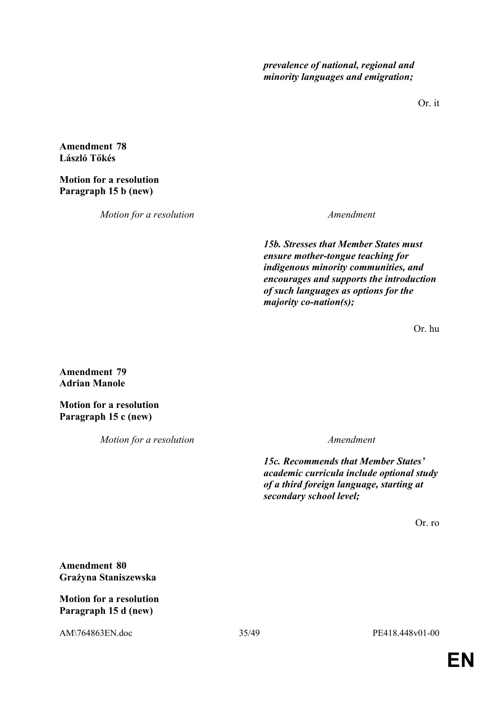*prevalence of national, regional and minority languages and emigration;*

Or. it

**Amendment 78 László Tőkés**

**Motion for a resolution Paragraph 15 b (new)**

*Motion for a resolution Amendment*

 *15b. Stresses that Member States must ensure mother-tongue teaching for indigenous minority communities, and encourages and supports the introduction of such languages as options for the majority co-nation(s);*

Or. hu

**Amendment 79 Adrian Manole**

**Motion for a resolution Paragraph 15 c (new)**

*Motion for a resolution Amendment*

 *15c. Recommends that Member States' academic curricula include optional study of a third foreign language, starting at secondary school level;*

Or. ro

**Amendment 80 Grażyna Staniszewska**

**Motion for a resolution Paragraph 15 d (new)**

AM\764863EN.doc 35/49 PE418.448v01-00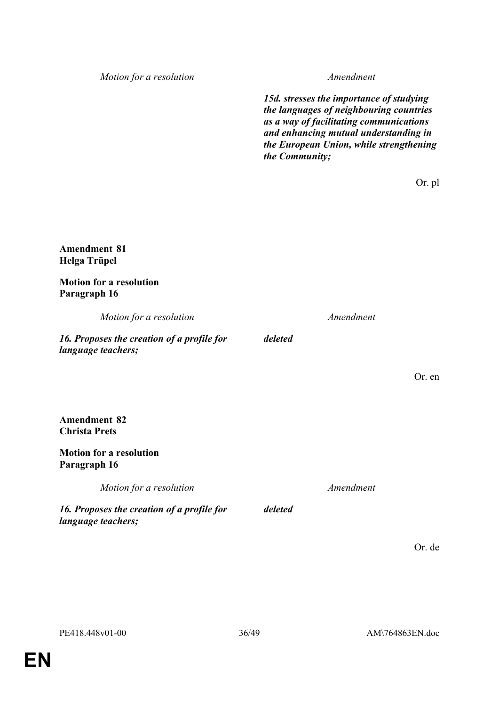*Motion for a resolution Amendment*

*15d. stresses the importance of studying the languages of neighbouring countries as a way of facilitating communications and enhancing mutual understanding in the European Union, while strengthening the Community;*

Or. pl

#### **Amendment 81 Helga Trüpel**

**Motion for a resolution Paragraph 16**

*Motion for a resolution Amendment*

*deleted*

*deleted*

*16. Proposes the creation of a profile for language teachers;*

**Amendment 82 Christa Prets**

### **Motion for a resolution Paragraph 16**

*Motion for a resolution Amendment*

*16. Proposes the creation of a profile for language teachers;*

Or. de

Or. en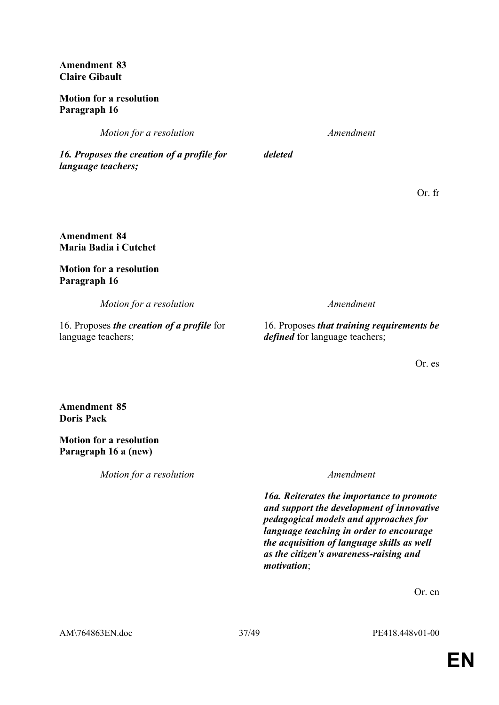**Amendment 83 Claire Gibault**

### **Motion for a resolution Paragraph 16**

*Motion for a resolution Amendment*

*deleted*

*16. Proposes the creation of a profile for language teachers;*

Or. fr

**Amendment 84 Maria Badia i Cutchet**

**Motion for a resolution Paragraph 16**

*Motion for a resolution Amendment*

16. Proposes *the creation of a profile* for language teachers;

16. Proposes *that training requirements be defined* for language teachers;

Or. es

**Amendment 85 Doris Pack**

**Motion for a resolution Paragraph 16 a (new)**

*Motion for a resolution Amendment*

 *16a. Reiterates the importance to promote and support the development of innovative pedagogical models and approaches for language teaching in order to encourage the acquisition of language skills as well as the citizen's awareness-raising and motivation*;

Or. en

AM\764863EN.doc 37/49 PE418.448v01-00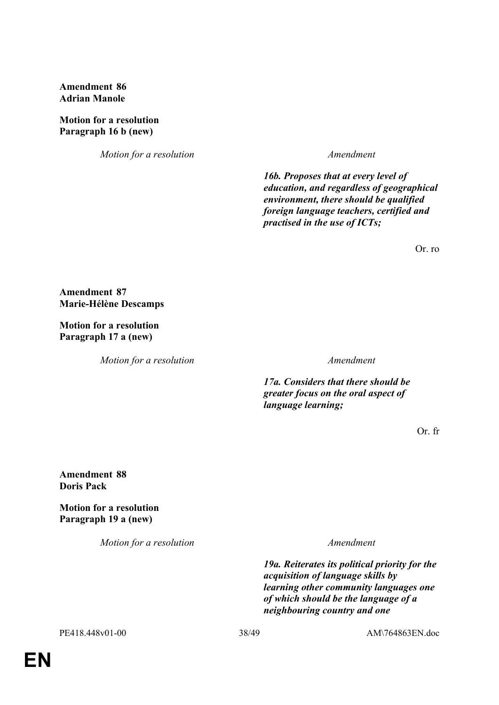**Amendment 86 Adrian Manole**

**Motion for a resolution Paragraph 16 b (new)**

*Motion for a resolution Amendment*

 *16b. Proposes that at every level of education, and regardless of geographical environment, there should be qualified foreign language teachers, certified and practised in the use of ICTs;*

Or. ro

**Amendment 87 Marie-Hélène Descamps**

**Motion for a resolution Paragraph 17 a (new)**

*Motion for a resolution Amendment*

*17a. Considers that there should be greater focus on the oral aspect of language learning;*

Or. fr

**Amendment 88 Doris Pack**

**Motion for a resolution Paragraph 19 a (new)**

*Motion for a resolution Amendment*

 *19a. Reiterates its political priority for the acquisition of language skills by learning other community languages one of which should be the language of a neighbouring country and one*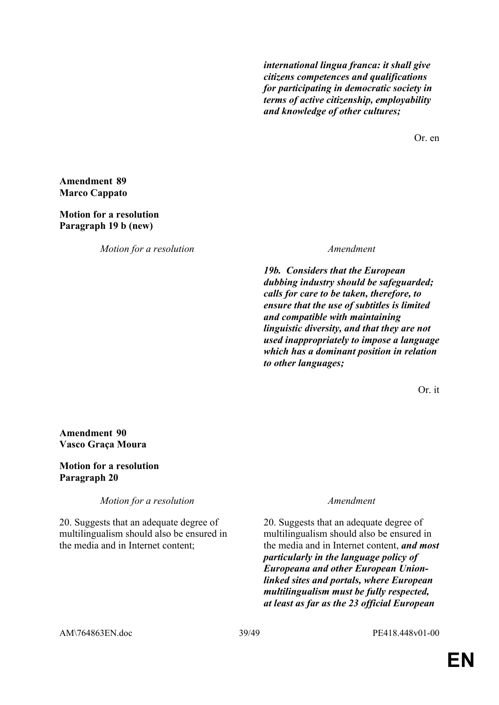*international lingua franca: it shall give citizens competences and qualifications for participating in democratic society in terms of active citizenship, employability and knowledge of other cultures;*

Or. en

#### **Amendment 89 Marco Cappato**

### **Motion for a resolution Paragraph 19 b (new)**

*Motion for a resolution Amendment*

 *19b. Considers that the European dubbing industry should be safeguarded; calls for care to be taken, therefore, to ensure that the use of subtitles is limited and compatible with maintaining linguistic diversity, and that they are not used inappropriately to impose a language which has a dominant position in relation to other languages;* 

Or. it

### **Amendment 90 Vasco Graça Moura**

### **Motion for a resolution Paragraph 20**

*Motion for a resolution Amendment*

20. Suggests that an adequate degree of multilingualism should also be ensured in the media and in Internet content;

20. Suggests that an adequate degree of multilingualism should also be ensured in the media and in Internet content, *and most particularly in the language policy of Europeana and other European Unionlinked sites and portals, where European multilingualism must be fully respected, at least as far as the 23 official European*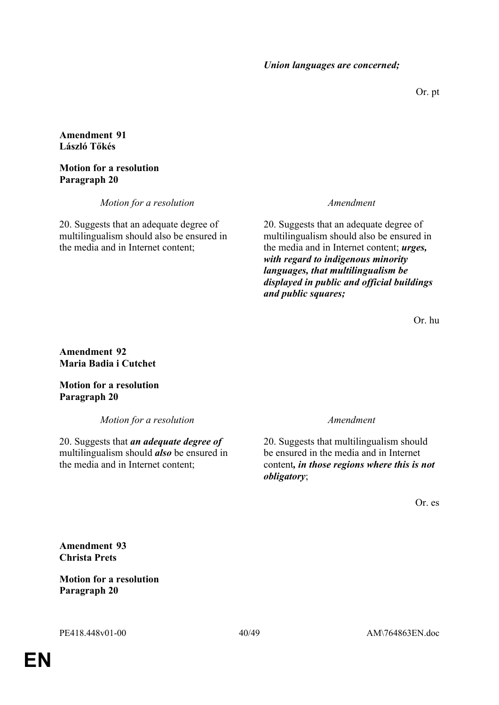Or. pt

### **Amendment 91 László Tőkés**

#### **Motion for a resolution Paragraph 20**

*Motion for a resolution Amendment*

20. Suggests that an adequate degree of multilingualism should also be ensured in the media and in Internet content;

20. Suggests that an adequate degree of multilingualism should also be ensured in the media and in Internet content; *urges, with regard to indigenous minority languages, that multilingualism be displayed in public and official buildings and public squares;*

Or. hu

**Amendment 92 Maria Badia i Cutchet**

**Motion for a resolution Paragraph 20**

*Motion for a resolution Amendment*

20. Suggests that *an adequate degree of* multilingualism should *also* be ensured in the media and in Internet content;

20. Suggests that multilingualism should be ensured in the media and in Internet content*, in those regions where this is not obligatory*;

Or. es

**Amendment 93 Christa Prets**

**Motion for a resolution Paragraph 20**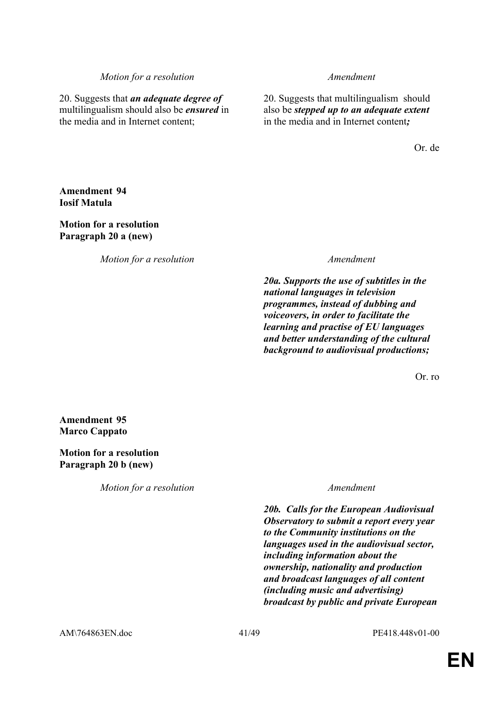#### *Motion for a resolution Amendment*

20. Suggests that *an adequate degree of* multilingualism should also be *ensured* in the media and in Internet content;

20. Suggests that multilingualism should also be *stepped up to an adequate extent*  in the media and in Internet content*;*

Or. de

### **Amendment 94 Iosif Matula**

**Motion for a resolution Paragraph 20 a (new)**

*Motion for a resolution Amendment*

 *20a. Supports the use of subtitles in the national languages in television programmes, instead of dubbing and voiceovers, in order to facilitate the learning and practise of EU languages and better understanding of the cultural background to audiovisual productions;*

Or. ro.

**Amendment 95 Marco Cappato**

**Motion for a resolution Paragraph 20 b (new)**

*Motion for a resolution Amendment*

 *20b. Calls for the European Audiovisual Observatory to submit a report every year to the Community institutions on the languages used in the audiovisual sector, including information about the ownership, nationality and production and broadcast languages of all content (including music and advertising) broadcast by public and private European*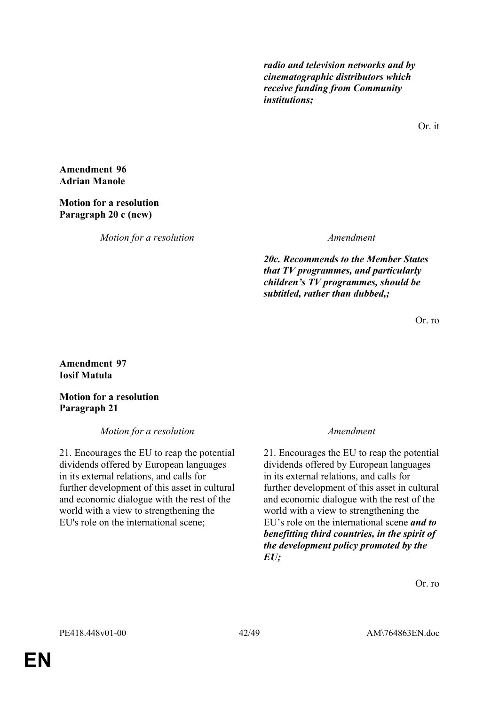*radio and television networks and by cinematographic distributors which receive funding from Community institutions;*

Or. it

**Amendment 96 Adrian Manole**

#### **Motion for a resolution Paragraph 20 c (new)**

*Motion for a resolution Amendment*

 *20c. Recommends to the Member States that TV programmes, and particularly children's TV programmes, should be subtitled, rather than dubbed,;*

Or. ro

### **Amendment 97 Iosif Matula**

**Motion for a resolution Paragraph 21**

*Motion for a resolution Amendment*

21. Encourages the EU to reap the potential dividends offered by European languages in its external relations, and calls for further development of this asset in cultural and economic dialogue with the rest of the world with a view to strengthening the EU's role on the international scene;

21. Encourages the EU to reap the potential dividends offered by European languages in its external relations, and calls for further development of this asset in cultural and economic dialogue with the rest of the world with a view to strengthening the EU's role on the international scene *and to benefitting third countries, in the spirit of the development policy promoted by the EU;*

Or. ro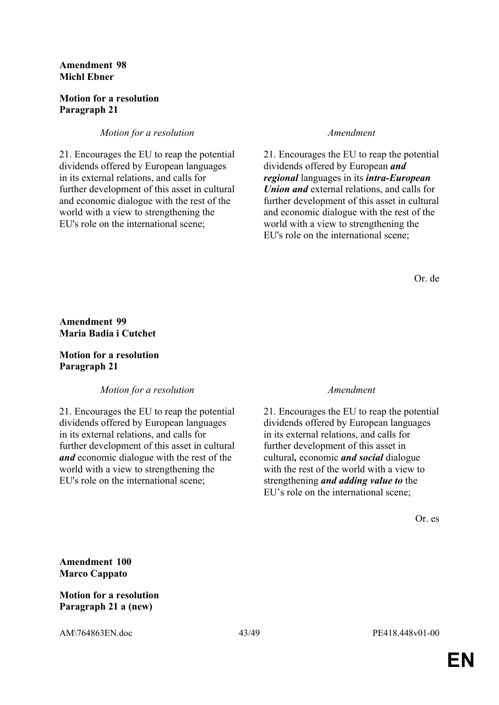#### **Amendment 98 Michl Ebner**

### **Motion for a resolution Paragraph 21**

#### *Motion for a resolution Amendment*

21. Encourages the EU to reap the potential dividends offered by European languages in its external relations, and calls for further development of this asset in cultural and economic dialogue with the rest of the world with a view to strengthening the EU's role on the international scene;

21. Encourages the EU to reap the potential dividends offered by European *and regional* languages in its *intra-European Union and* external relations, and calls for further development of this asset in cultural and economic dialogue with the rest of the world with a view to strengthening the EU's role on the international scene;

Or. de

### **Amendment 99 Maria Badia i Cutchet**

### **Motion for a resolution Paragraph 21**

*Motion for a resolution Amendment*

21. Encourages the EU to reap the potential dividends offered by European languages in its external relations, and calls for further development of this asset in cultural *and* economic dialogue with the rest of the world with a view to strengthening the EU's role on the international scene;

21. Encourages the EU to reap the potential dividends offered by European languages in its external relations, and calls for further development of this asset in cultural*,* economic *and social* dialogue with the rest of the world with a view to strengthening *and adding value to* the EU's role on the international scene;

Or. es

**Amendment 100 Marco Cappato**

### **Motion for a resolution Paragraph 21 a (new)**

AM\764863EN.doc 43/49 PE418.448v01-00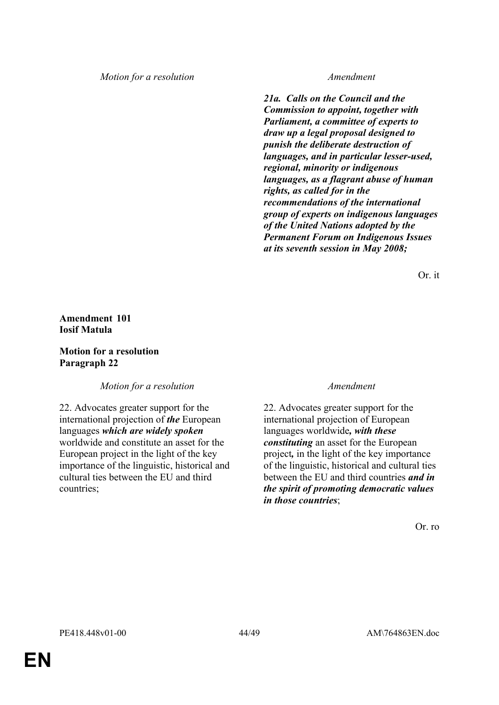#### *Motion for a resolution Amendment*

 *21a. Calls on the Council and the Commission to appoint, together with Parliament, a committee of experts to draw up a legal proposal designed to punish the deliberate destruction of languages, and in particular lesser-used, regional, minority or indigenous languages, as a flagrant abuse of human rights, as called for in the recommendations of the international group of experts on indigenous languages of the United Nations adopted by the Permanent Forum on Indigenous Issues at its seventh session in May 2008;*

Or. it

### **Amendment 101 Iosif Matula**

**Motion for a resolution Paragraph 22**

*Motion for a resolution Amendment*

22. Advocates greater support for the international projection of *the* European languages *which are widely spoken*  worldwide and constitute an asset for the European project in the light of the key importance of the linguistic, historical and cultural ties between the EU and third countries;

22. Advocates greater support for the international projection of European languages worldwide*, with these constituting* an asset for the European project*,* in the light of the key importance of the linguistic, historical and cultural ties between the EU and third countries *and in the spirit of promoting democratic values in those countries*;

Or. ro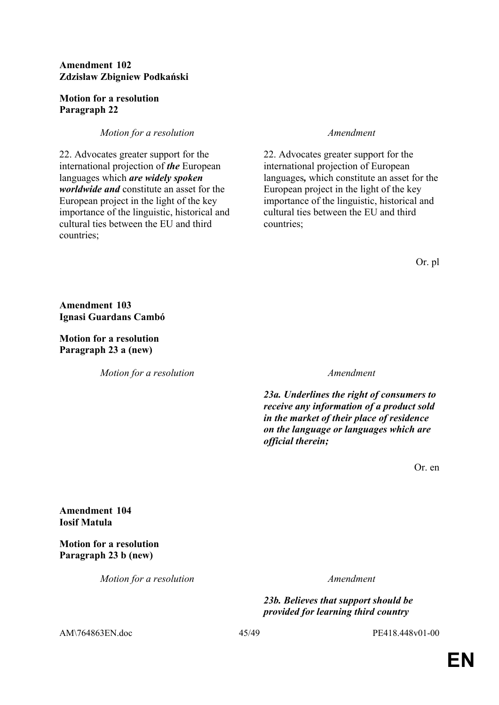### **Amendment 102 Zdzisław Zbigniew Podkański**

#### **Motion for a resolution Paragraph 22**

### *Motion for a resolution Amendment*

22. Advocates greater support for the international projection of *the* European languages which *are widely spoken worldwide and* constitute an asset for the European project in the light of the key importance of the linguistic, historical and cultural ties between the EU and third countries;

22. Advocates greater support for the international projection of European languages*,* which constitute an asset for the European project in the light of the key importance of the linguistic, historical and cultural ties between the EU and third countries;

Or. pl

**Amendment 103 Ignasi Guardans Cambó**

**Motion for a resolution Paragraph 23 a (new)**

*Motion for a resolution Amendment*

 *23a. Underlines the right of consumers to receive any information of a product sold in the market of their place of residence on the language or languages which are official therein;*

Or. en

**Amendment 104 Iosif Matula**

**Motion for a resolution Paragraph 23 b (new)**

*Motion for a resolution Amendment*

 *23b. Believes that support should be provided for learning third country* 

AM\764863EN.doc 45/49 PE418.448v01-00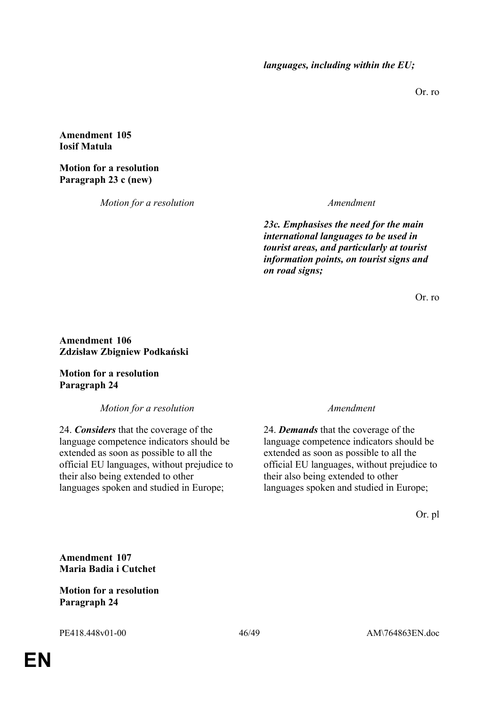Or. ro

### **Amendment 105 Iosif Matula**

### **Motion for a resolution Paragraph 23 c (new)**

*Motion for a resolution Amendment*

 *23c. Emphasises the need for the main international languages to be used in tourist areas, and particularly at tourist information points, on tourist signs and on road signs;*

Or. ro

#### **Amendment 106 Zdzisław Zbigniew Podkański**

**Motion for a resolution Paragraph 24**

*Motion for a resolution Amendment*

24. *Considers* that the coverage of the language competence indicators should be extended as soon as possible to all the official EU languages, without prejudice to their also being extended to other languages spoken and studied in Europe;

24. *Demands* that the coverage of the language competence indicators should be extended as soon as possible to all the official EU languages, without prejudice to their also being extended to other languages spoken and studied in Europe;

Or. pl

**Amendment 107 Maria Badia i Cutchet**

### **Motion for a resolution Paragraph 24**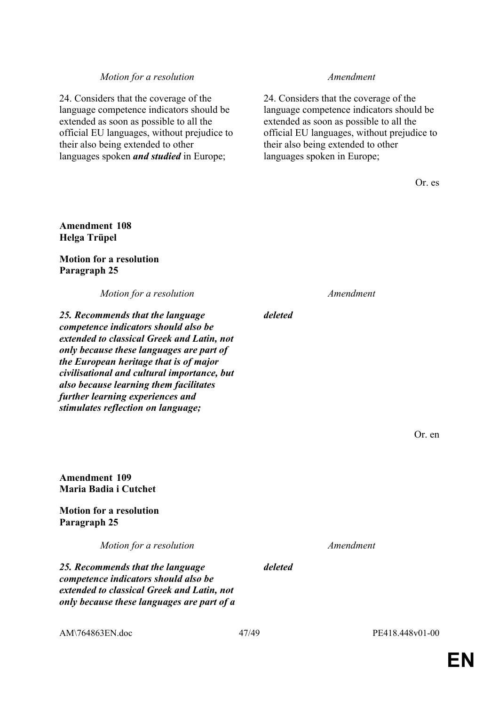#### *Motion for a resolution Amendment*

24. Considers that the coverage of the language competence indicators should be extended as soon as possible to all the official EU languages, without prejudice to their also being extended to other languages spoken *and studied* in Europe;

24. Considers that the coverage of the language competence indicators should be extended as soon as possible to all the official EU languages, without prejudice to their also being extended to other languages spoken in Europe;

Or. es

### **Amendment 108 Helga Trüpel**

#### **Motion for a resolution Paragraph 25**

*Motion for a resolution Amendment*

*25. Recommends that the language competence indicators should also be extended to classical Greek and Latin, not only because these languages are part of the European heritage that is of major civilisational and cultural importance, but also because learning them facilitates further learning experiences and stimulates reflection on language;*

**Amendment 109 Maria Badia i Cutchet**

**Motion for a resolution Paragraph 25**

*Motion for a resolution Amendment*

*25. Recommends that the language competence indicators should also be extended to classical Greek and Latin, not only because these languages are part of a* 

*deleted*

Or. en

*deleted*

AM\764863EN.doc 47/49 PE418.448v01-00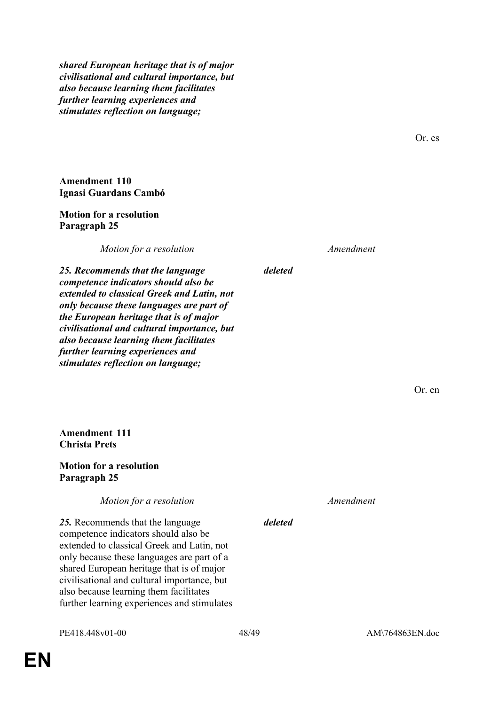*shared European heritage that is of major civilisational and cultural importance, but also because learning them facilitates further learning experiences and stimulates reflection on language;*

**Amendment 110 Ignasi Guardans Cambó**

#### **Motion for a resolution Paragraph 25**

*Motion for a resolution Amendment*

*deleted*

*deleted*

*25. Recommends that the language competence indicators should also be extended to classical Greek and Latin, not only because these languages are part of the European heritage that is of major civilisational and cultural importance, but also because learning them facilitates further learning experiences and stimulates reflection on language;*

Or. en

**Amendment 111 Christa Prets**

**Motion for a resolution Paragraph 25**

*Motion for a resolution Amendment*

*25.* Recommends that the language competence indicators should also be extended to classical Greek and Latin, not only because these languages are part of a shared European heritage that is of major civilisational and cultural importance, but also because learning them facilitates further learning experiences and stimulates

Or. es